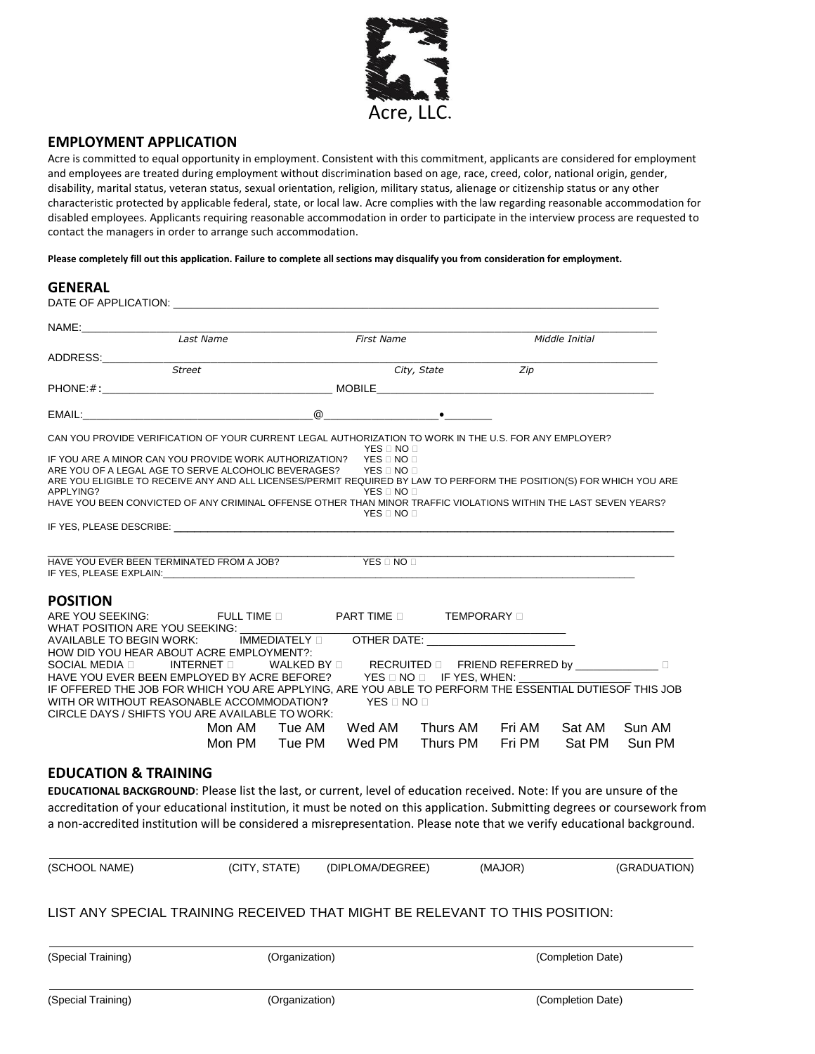

### **EMPLOYMENT APPLICATION**

Acre is committed to equal opportunity in employment. Consistent with this commitment, applicants are considered for employment and employees are treated during employment without discrimination based on age, race, creed, color, national origin, gender, disability, marital status, veteran status, sexual orientation, religion, military status, alienage or citizenship status or any other characteristic protected by applicable federal, state, or local law. Acre complies with the law regarding reasonable accommodation for disabled employees. Applicants requiring reasonable accommodation in order to participate in the interview process are requested to contact the managers in order to arrange such accommodation.

**Please completely fill out this application. Failure to complete all sections may disqualify you from consideration for employment.**

| NAME:___________________<br>Last Name                                                                                                                                                                                                                                                                                                                                                                                                                                                                                                                                                                                          |               |                   |                                                                                                                                                                                                                                |     |                |        |
|--------------------------------------------------------------------------------------------------------------------------------------------------------------------------------------------------------------------------------------------------------------------------------------------------------------------------------------------------------------------------------------------------------------------------------------------------------------------------------------------------------------------------------------------------------------------------------------------------------------------------------|---------------|-------------------|--------------------------------------------------------------------------------------------------------------------------------------------------------------------------------------------------------------------------------|-----|----------------|--------|
|                                                                                                                                                                                                                                                                                                                                                                                                                                                                                                                                                                                                                                |               | <b>First Name</b> |                                                                                                                                                                                                                                |     | Middle Initial |        |
| ADDRESS:                                                                                                                                                                                                                                                                                                                                                                                                                                                                                                                                                                                                                       |               |                   |                                                                                                                                                                                                                                |     |                |        |
| <b>Street</b>                                                                                                                                                                                                                                                                                                                                                                                                                                                                                                                                                                                                                  |               |                   | City, State                                                                                                                                                                                                                    | Zip |                |        |
|                                                                                                                                                                                                                                                                                                                                                                                                                                                                                                                                                                                                                                |               |                   |                                                                                                                                                                                                                                |     |                |        |
|                                                                                                                                                                                                                                                                                                                                                                                                                                                                                                                                                                                                                                |               |                   |                                                                                                                                                                                                                                |     |                |        |
| CAN YOU PROVIDE VERIFICATION OF YOUR CURRENT LEGAL AUTHORIZATION TO WORK IN THE U.S. FOR ANY EMPLOYER?                                                                                                                                                                                                                                                                                                                                                                                                                                                                                                                         |               |                   |                                                                                                                                                                                                                                |     |                |        |
|                                                                                                                                                                                                                                                                                                                                                                                                                                                                                                                                                                                                                                |               | YES ⊟ NO ⊟        |                                                                                                                                                                                                                                |     |                |        |
| ARE YOU ELIGIBLE TO RECEIVE ANY AND ALL LICENSES/PERMIT REQUIRED BY LAW TO PERFORM THE POSITION(S) FOR WHICH YOU ARE<br>APPLYING?                                                                                                                                                                                                                                                                                                                                                                                                                                                                                              |               | YES ONO O         |                                                                                                                                                                                                                                |     |                |        |
|                                                                                                                                                                                                                                                                                                                                                                                                                                                                                                                                                                                                                                |               |                   |                                                                                                                                                                                                                                |     |                |        |
|                                                                                                                                                                                                                                                                                                                                                                                                                                                                                                                                                                                                                                |               |                   |                                                                                                                                                                                                                                |     |                |        |
|                                                                                                                                                                                                                                                                                                                                                                                                                                                                                                                                                                                                                                |               | YES □ NO □        |                                                                                                                                                                                                                                |     |                |        |
|                                                                                                                                                                                                                                                                                                                                                                                                                                                                                                                                                                                                                                |               |                   |                                                                                                                                                                                                                                |     |                |        |
|                                                                                                                                                                                                                                                                                                                                                                                                                                                                                                                                                                                                                                |               |                   |                                                                                                                                                                                                                                |     |                |        |
|                                                                                                                                                                                                                                                                                                                                                                                                                                                                                                                                                                                                                                |               |                   |                                                                                                                                                                                                                                |     |                |        |
|                                                                                                                                                                                                                                                                                                                                                                                                                                                                                                                                                                                                                                |               |                   |                                                                                                                                                                                                                                |     |                |        |
|                                                                                                                                                                                                                                                                                                                                                                                                                                                                                                                                                                                                                                |               |                   |                                                                                                                                                                                                                                |     |                |        |
|                                                                                                                                                                                                                                                                                                                                                                                                                                                                                                                                                                                                                                |               |                   | OTHER DATE: THE STATE OF THE STATE OF THE STATE OF THE STATE OF THE STATE OF THE STATE OF THE STATE OF THE STATE OF THE STATE OF THE STATE OF THE STATE OF THE STATE OF THE STATE OF THE STATE OF THE STATE OF THE STATE OF TH |     |                |        |
|                                                                                                                                                                                                                                                                                                                                                                                                                                                                                                                                                                                                                                |               |                   |                                                                                                                                                                                                                                |     |                |        |
| INTERNET <b>D</b>                                                                                                                                                                                                                                                                                                                                                                                                                                                                                                                                                                                                              |               |                   | WALKED BY $\Box$ RECRUITED $\Box$ FRIEND REFERRED by $\Box$                                                                                                                                                                    |     |                |        |
|                                                                                                                                                                                                                                                                                                                                                                                                                                                                                                                                                                                                                                |               |                   | $YES \Box NO \Box$ IF YES, WHEN:                                                                                                                                                                                               |     |                |        |
|                                                                                                                                                                                                                                                                                                                                                                                                                                                                                                                                                                                                                                |               |                   | YES □ NO □                                                                                                                                                                                                                     |     |                |        |
| HAVE YOU BEEN CONVICTED OF ANY CRIMINAL OFFENSE OTHER THAN MINOR TRAFFIC VIOLATIONS WITHIN THE LAST SEVEN YEARS?<br>HAVE YOU EVER BEEN TERMINATED FROM A JOB? THE STRING ON DI<br><b>POSITION</b><br>ARE YOU SEEKING: THE LETTIME IN THE PART TIME IN THE TEMPORARY I<br>WHAT POSITION ARE YOU SEEKING:<br>HOW DID YOU HEAR ABOUT ACRE EMPLOYMENT?:<br>SOCIAL MEDIA □<br>HAVE YOU EVER BEEN EMPLOYED BY ACRE BEFORE?<br>IF OFFERED THE JOB FOR WHICH YOU ARE APPLYING, ARE YOU ABLE TO PERFORM THE ESSENTIAL DUTIESOF THIS JOB<br>WITH OR WITHOUT REASONABLE ACCOMMODATION?<br>CIRCLE DAYS / SHIFTS YOU ARE AVAILABLE TO WORK: | Mon AM Tue AM |                   | Wed AM Thurs AM Fri AM Sat AM                                                                                                                                                                                                  |     |                | Sun AM |

#### **EDUCATION & TRAINING**

**EDUCATIONAL BACKGROUND**: Please list the last, or current, level of education received. Note: If you are unsure of the accreditation of your educational institution, it must be noted on this application. Submitting degrees or coursework from a non-accredited institution will be considered a misrepresentation. Please note that we verify educational background.

| (SCHOOL NAME) | (CITY, STATE) | (DIPLOMA/DEGREE) | (MAJOR) | (GRADUATION) |
|---------------|---------------|------------------|---------|--------------|
|               |               |                  |         |              |

### LIST ANY SPECIAL TRAINING RECEIVED THAT MIGHT BE RELEVANT TO THIS POSITION:

(Special Training) (Organization) (Completion Date)